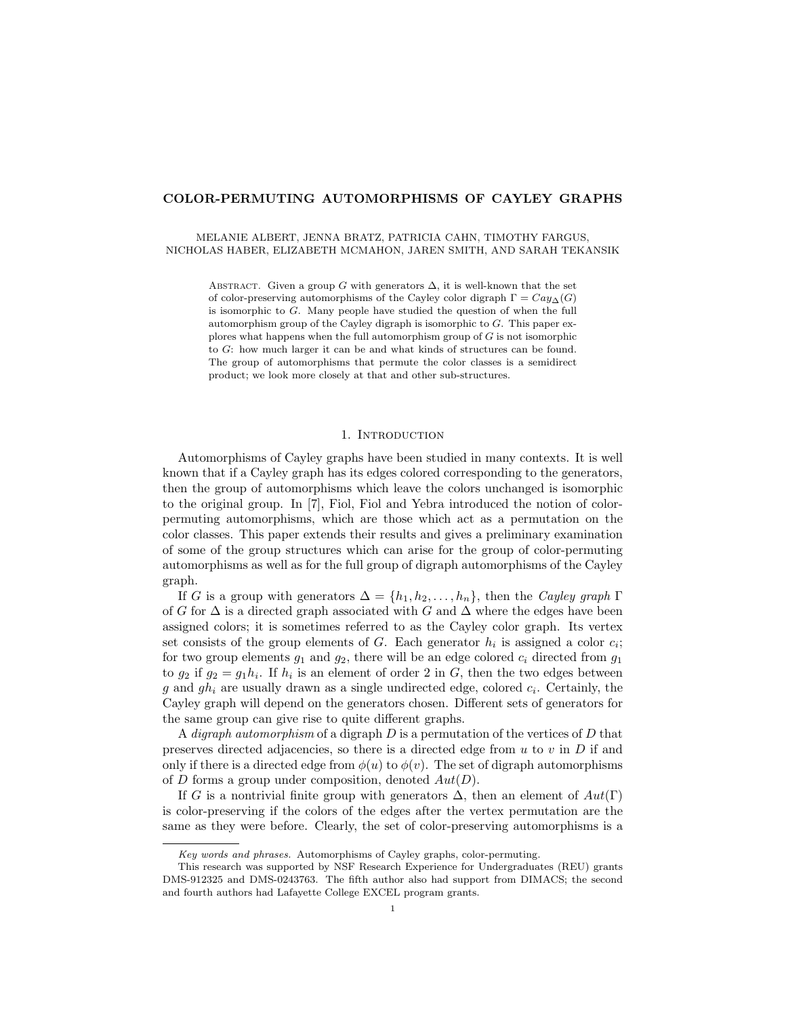### COLOR-PERMUTING AUTOMORPHISMS OF CAYLEY GRAPHS

#### MELANIE ALBERT, JENNA BRATZ, PATRICIA CAHN, TIMOTHY FARGUS, NICHOLAS HABER, ELIZABETH MCMAHON, JAREN SMITH, AND SARAH TEKANSIK

ABSTRACT. Given a group G with generators  $\Delta$ , it is well-known that the set of color-preserving automorphisms of the Cayley color digraph  $\Gamma = Cay_{\Delta}(G)$ is isomorphic to G. Many people have studied the question of when the full automorphism group of the Cayley digraph is isomorphic to  $G$ . This paper explores what happens when the full automorphism group of G is not isomorphic to G: how much larger it can be and what kinds of structures can be found. The group of automorphisms that permute the color classes is a semidirect product; we look more closely at that and other sub-structures.

#### 1. Introduction

Automorphisms of Cayley graphs have been studied in many contexts. It is well known that if a Cayley graph has its edges colored corresponding to the generators, then the group of automorphisms which leave the colors unchanged is isomorphic to the original group. In [7], Fiol, Fiol and Yebra introduced the notion of colorpermuting automorphisms, which are those which act as a permutation on the color classes. This paper extends their results and gives a preliminary examination of some of the group structures which can arise for the group of color-permuting automorphisms as well as for the full group of digraph automorphisms of the Cayley graph.

If G is a group with generators  $\Delta = \{h_1, h_2, \ldots, h_n\}$ , then the Cayley graph  $\Gamma$ of G for  $\Delta$  is a directed graph associated with G and  $\Delta$  where the edges have been assigned colors; it is sometimes referred to as the Cayley color graph. Its vertex set consists of the group elements of  $G$ . Each generator  $h_i$  is assigned a color  $c_i$ ; for two group elements  $g_1$  and  $g_2$ , there will be an edge colored  $c_i$  directed from  $g_1$ to  $g_2$  if  $g_2 = g_1 h_i$ . If  $h_i$  is an element of order 2 in G, then the two edges between g and  $gh_i$  are usually drawn as a single undirected edge, colored  $c_i$ . Certainly, the Cayley graph will depend on the generators chosen. Different sets of generators for the same group can give rise to quite different graphs.

A *digraph automorphism* of a digraph  $D$  is a permutation of the vertices of  $D$  that preserves directed adjacencies, so there is a directed edge from  $u$  to  $v$  in  $D$  if and only if there is a directed edge from  $\phi(u)$  to  $\phi(v)$ . The set of digraph automorphisms of D forms a group under composition, denoted  $Aut(D)$ .

If G is a nontrivial finite group with generators  $\Delta$ , then an element of  $Aut(\Gamma)$ is color-preserving if the colors of the edges after the vertex permutation are the same as they were before. Clearly, the set of color-preserving automorphisms is a

Key words and phrases. Automorphisms of Cayley graphs, color-permuting.

This research was supported by NSF Research Experience for Undergraduates (REU) grants DMS-912325 and DMS-0243763. The fifth author also had support from DIMACS; the second and fourth authors had Lafayette College EXCEL program grants.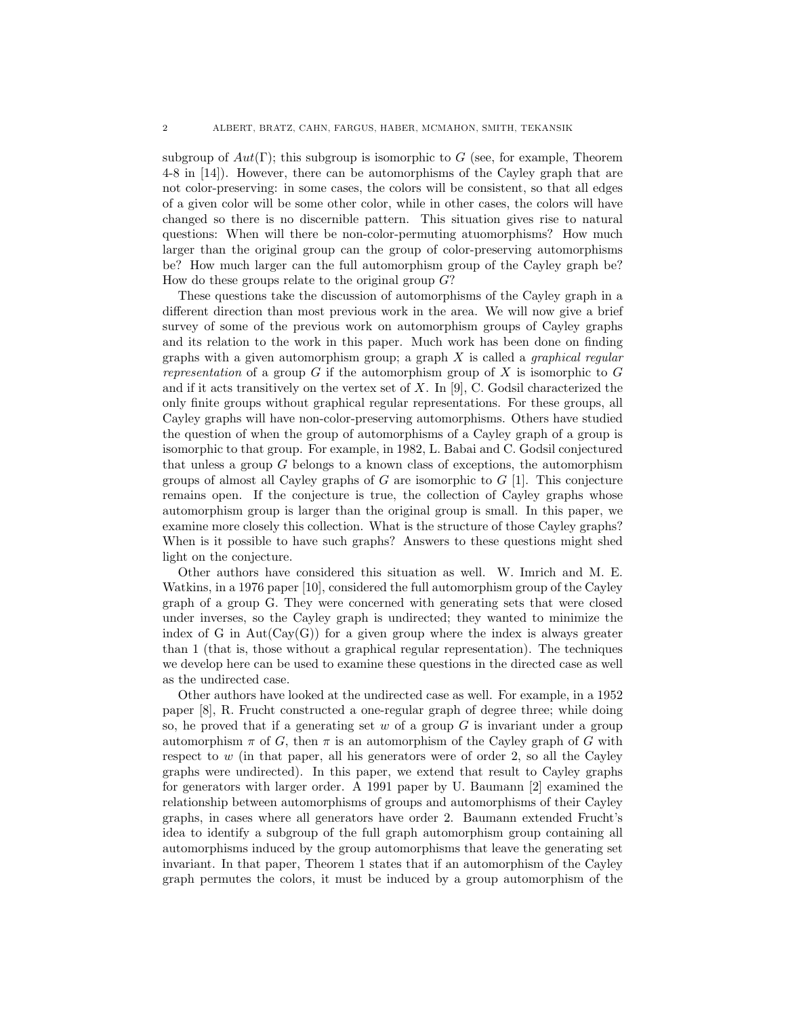subgroup of  $Aut(\Gamma)$ ; this subgroup is isomorphic to G (see, for example, Theorem 4-8 in [14]). However, there can be automorphisms of the Cayley graph that are not color-preserving: in some cases, the colors will be consistent, so that all edges of a given color will be some other color, while in other cases, the colors will have changed so there is no discernible pattern. This situation gives rise to natural questions: When will there be non-color-permuting atuomorphisms? How much larger than the original group can the group of color-preserving automorphisms be? How much larger can the full automorphism group of the Cayley graph be? How do these groups relate to the original group  $G$ ?

These questions take the discussion of automorphisms of the Cayley graph in a different direction than most previous work in the area. We will now give a brief survey of some of the previous work on automorphism groups of Cayley graphs and its relation to the work in this paper. Much work has been done on finding graphs with a given automorphism group; a graph  $X$  is called a *graphical regular* representation of a group G if the automorphism group of X is isomorphic to  $G$ and if it acts transitively on the vertex set of  $X$ . In [9], C. Godsil characterized the only finite groups without graphical regular representations. For these groups, all Cayley graphs will have non-color-preserving automorphisms. Others have studied the question of when the group of automorphisms of a Cayley graph of a group is isomorphic to that group. For example, in 1982, L. Babai and C. Godsil conjectured that unless a group G belongs to a known class of exceptions, the automorphism groups of almost all Cayley graphs of  $G$  are isomorphic to  $G$  [1]. This conjecture remains open. If the conjecture is true, the collection of Cayley graphs whose automorphism group is larger than the original group is small. In this paper, we examine more closely this collection. What is the structure of those Cayley graphs? When is it possible to have such graphs? Answers to these questions might shed light on the conjecture.

Other authors have considered this situation as well. W. Imrich and M. E. Watkins, in a 1976 paper [10], considered the full automorphism group of the Cayley graph of a group G. They were concerned with generating sets that were closed under inverses, so the Cayley graph is undirected; they wanted to minimize the index of G in Aut $(Cay(G))$  for a given group where the index is always greater than 1 (that is, those without a graphical regular representation). The techniques we develop here can be used to examine these questions in the directed case as well as the undirected case.

Other authors have looked at the undirected case as well. For example, in a 1952 paper [8], R. Frucht constructed a one-regular graph of degree three; while doing so, he proved that if a generating set  $w$  of a group  $G$  is invariant under a group automorphism  $\pi$  of G, then  $\pi$  is an automorphism of the Cayley graph of G with respect to  $w$  (in that paper, all his generators were of order 2, so all the Cayley graphs were undirected). In this paper, we extend that result to Cayley graphs for generators with larger order. A 1991 paper by U. Baumann [2] examined the relationship between automorphisms of groups and automorphisms of their Cayley graphs, in cases where all generators have order 2. Baumann extended Frucht's idea to identify a subgroup of the full graph automorphism group containing all automorphisms induced by the group automorphisms that leave the generating set invariant. In that paper, Theorem 1 states that if an automorphism of the Cayley graph permutes the colors, it must be induced by a group automorphism of the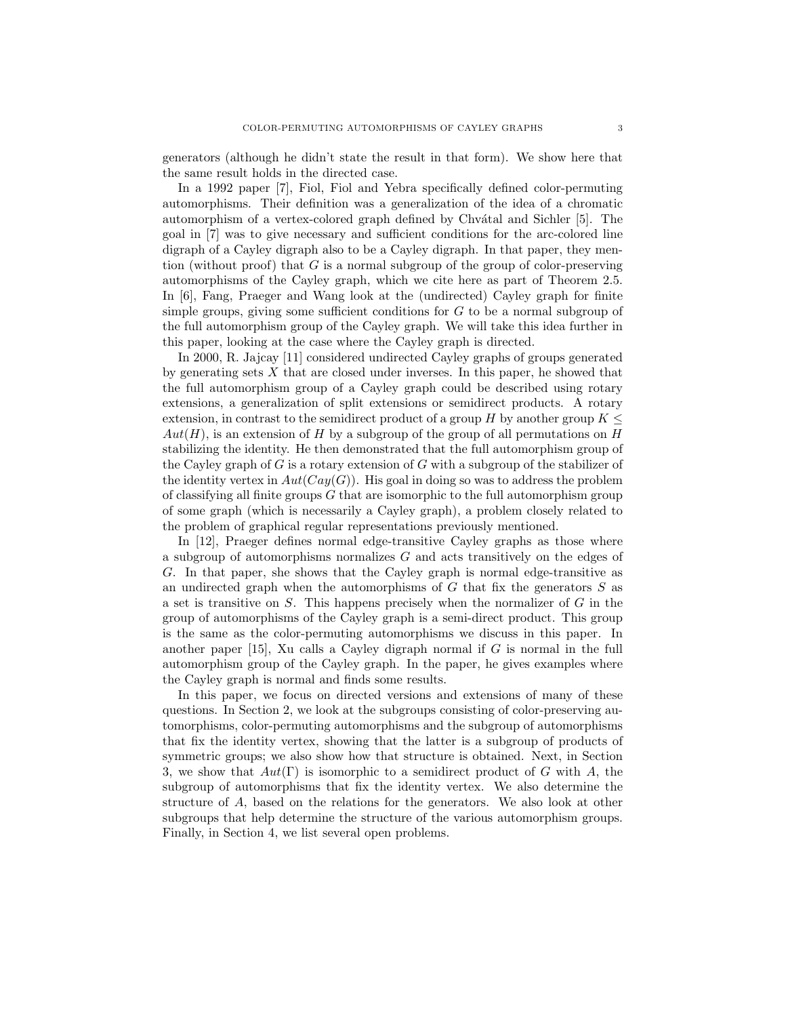generators (although he didn't state the result in that form). We show here that the same result holds in the directed case.

In a 1992 paper [7], Fiol, Fiol and Yebra specifically defined color-permuting automorphisms. Their definition was a generalization of the idea of a chromatic automorphism of a vertex-colored graph defined by Chvátal and Sichler [5]. The goal in [7] was to give necessary and sufficient conditions for the arc-colored line digraph of a Cayley digraph also to be a Cayley digraph. In that paper, they mention (without proof) that  $G$  is a normal subgroup of the group of color-preserving automorphisms of the Cayley graph, which we cite here as part of Theorem 2.5. In [6], Fang, Praeger and Wang look at the (undirected) Cayley graph for finite simple groups, giving some sufficient conditions for G to be a normal subgroup of the full automorphism group of the Cayley graph. We will take this idea further in this paper, looking at the case where the Cayley graph is directed.

In 2000, R. Jajcay [11] considered undirected Cayley graphs of groups generated by generating sets  $X$  that are closed under inverses. In this paper, he showed that the full automorphism group of a Cayley graph could be described using rotary extensions, a generalization of split extensions or semidirect products. A rotary extension, in contrast to the semidirect product of a group  $H$  by another group  $K \leq$  $Aut(H)$ , is an extension of H by a subgroup of the group of all permutations on H stabilizing the identity. He then demonstrated that the full automorphism group of the Cayley graph of  $G$  is a rotary extension of  $G$  with a subgroup of the stabilizer of the identity vertex in  $Aut(Cay(G))$ . His goal in doing so was to address the problem of classifying all finite groups G that are isomorphic to the full automorphism group of some graph (which is necessarily a Cayley graph), a problem closely related to the problem of graphical regular representations previously mentioned.

In [12], Praeger defines normal edge-transitive Cayley graphs as those where a subgroup of automorphisms normalizes G and acts transitively on the edges of G. In that paper, she shows that the Cayley graph is normal edge-transitive as an undirected graph when the automorphisms of  $G$  that fix the generators  $S$  as a set is transitive on  $S$ . This happens precisely when the normalizer of  $G$  in the group of automorphisms of the Cayley graph is a semi-direct product. This group is the same as the color-permuting automorphisms we discuss in this paper. In another paper [15], Xu calls a Cayley digraph normal if G is normal in the full automorphism group of the Cayley graph. In the paper, he gives examples where the Cayley graph is normal and finds some results.

In this paper, we focus on directed versions and extensions of many of these questions. In Section 2, we look at the subgroups consisting of color-preserving automorphisms, color-permuting automorphisms and the subgroup of automorphisms that fix the identity vertex, showing that the latter is a subgroup of products of symmetric groups; we also show how that structure is obtained. Next, in Section 3, we show that  $Aut(\Gamma)$  is isomorphic to a semidirect product of G with A, the subgroup of automorphisms that fix the identity vertex. We also determine the structure of A, based on the relations for the generators. We also look at other subgroups that help determine the structure of the various automorphism groups. Finally, in Section 4, we list several open problems.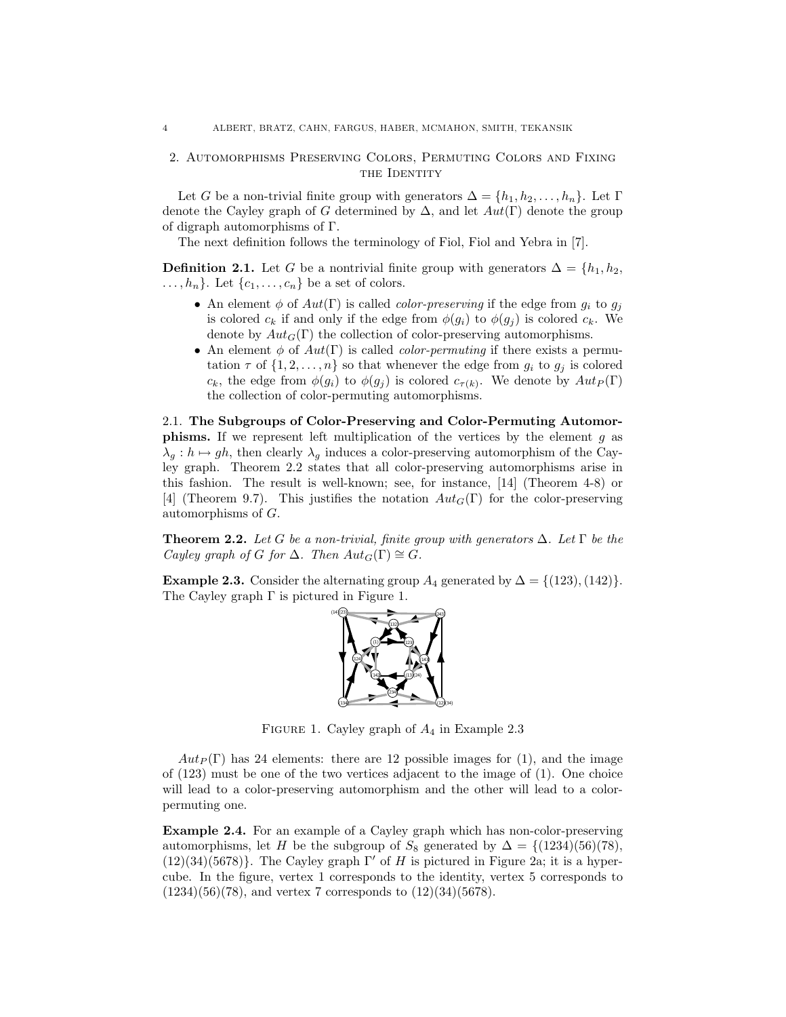# 2. Automorphisms Preserving Colors, Permuting Colors and Fixing THE IDENTITY

Let G be a non-trivial finite group with generators  $\Delta = \{h_1, h_2, \ldots, h_n\}$ . Let  $\Gamma$ denote the Cayley graph of G determined by  $\Delta$ , and let  $Aut(\Gamma)$  denote the group of digraph automorphisms of Γ.

The next definition follows the terminology of Fiol, Fiol and Yebra in [7].

**Definition 2.1.** Let G be a nontrivial finite group with generators  $\Delta = \{h_1, h_2,$  $\ldots, h_n$ . Let  $\{c_1, \ldots, c_n\}$  be a set of colors.

- An element  $\phi$  of  $Aut(\Gamma)$  is called *color-preserving* if the edge from  $g_i$  to  $g_j$ is colored  $c_k$  if and only if the edge from  $\phi(g_i)$  to  $\phi(g_j)$  is colored  $c_k$ . We denote by  $Aut_G(\Gamma)$  the collection of color-preserving automorphisms.
- An element  $\phi$  of  $Aut(\Gamma)$  is called *color-permuting* if there exists a permutation  $\tau$  of  $\{1, 2, ..., n\}$  so that whenever the edge from  $g_i$  to  $g_j$  is colored  $c_k$ , the edge from  $\phi(g_i)$  to  $\phi(g_j)$  is colored  $c_{\tau(k)}$ . We denote by  $Aut_P(\Gamma)$ the collection of color-permuting automorphisms.

2.1. The Subgroups of Color-Preserving and Color-Permuting Automor**phisms.** If we represent left multiplication of the vertices by the element  $g$  as  $\lambda_q : h \mapsto gh$ , then clearly  $\lambda_q$  induces a color-preserving automorphism of the Cayley graph. Theorem 2.2 states that all color-preserving automorphisms arise in this fashion. The result is well-known; see, for instance, [14] (Theorem 4-8) or [4] (Theorem 9.7). This justifies the notation  $Aut_G(\Gamma)$  for the color-preserving automorphisms of G.

**Theorem 2.2.** Let G be a non-trivial, finite group with generators  $\Delta$ . Let  $\Gamma$  be the Cayley graph of G for  $\Delta$ . Then  $Aut_G(\Gamma) \cong G$ .

**Example 2.3.** Consider the alternating group  $A_4$  generated by  $\Delta = \{(123), (142)\}.$ The Cayley graph  $\Gamma$  is pictured in Figure 1.



FIGURE 1. Cayley graph of  $A_4$  in Example 2.3

 $Aut_P(\Gamma)$  has 24 elements: there are 12 possible images for (1), and the image of (123) must be one of the two vertices adjacent to the image of (1). One choice will lead to a color-preserving automorphism and the other will lead to a colorpermuting one.

Example 2.4. For an example of a Cayley graph which has non-color-preserving automorphisms, let H be the subgroup of  $S_8$  generated by  $\Delta = \{(1234)(56)(78),\}$  $(12)(34)(5678)$ . The Cayley graph Γ' of H is pictured in Figure 2a; it is a hypercube. In the figure, vertex 1 corresponds to the identity, vertex 5 corresponds to  $(1234)(56)(78)$ , and vertex 7 corresponds to  $(12)(34)(5678)$ .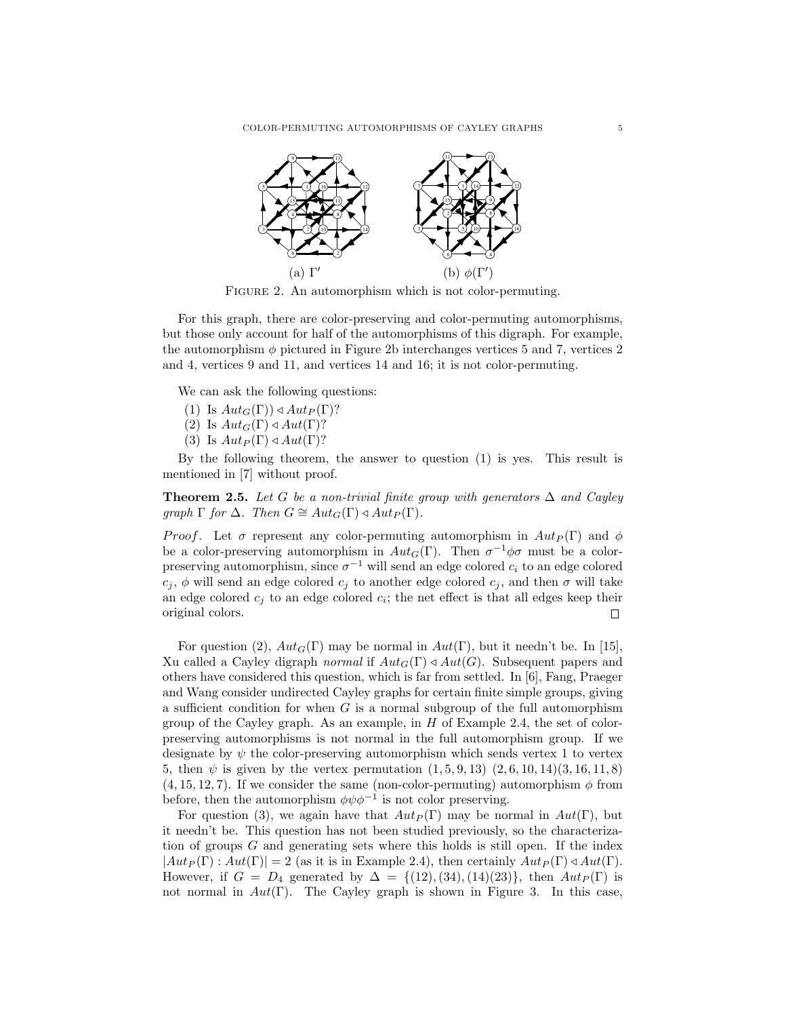

FIGURE 2. An automorphism which is not color-permuting.

For this graph, there are color-preserving and color-permuting automorphisms, but those only account for half of the automorphisms of this digraph. For example, the automorphism  $\phi$  pictured in Figure 2b interchanges vertices 5 and 7, vertices 2 and 4, vertices 9 and 11, and vertices 14 and 16; it is not color-permuting.

We can ask the following questions:

- (1) Is  $Aut_G(\Gamma)) \triangleleft Aut_P(\Gamma)$ ?
- (2) Is  $Aut_G(\Gamma) \triangleleft Aut(\Gamma)$ ?
- (3) Is  $Aut_P(\Gamma) \triangleleft Aut(\Gamma)$ ?

By the following theorem, the answer to question (1) is yes. This result is mentioned in [7] without proof.

**Theorem 2.5.** Let G be a non-trivial finite group with generators  $\Delta$  and Cayley graph  $\Gamma$  for  $\Delta$ . Then  $G \cong Aut_G(\Gamma) \triangleleft Aut_P(\Gamma)$ .

*Proof.* Let  $\sigma$  represent any color-permuting automorphism in  $Aut_P(\Gamma)$  and  $\phi$ be a color-preserving automorphism in  $Aut_G(\Gamma)$ . Then  $\sigma^{-1}\phi\sigma$  must be a colorpreserving automorphism, since  $\sigma^{-1}$  will send an edge colored  $c_i$  to an edge colored  $c_i$ ,  $\phi$  will send an edge colored  $c_j$  to another edge colored  $c_j$ , and then  $\sigma$  will take an edge colored  $c_j$  to an edge colored  $c_i$ ; the net effect is that all edges keep their original colors. П

For question (2),  $Aut_G(\Gamma)$  may be normal in  $Aut(\Gamma)$ , but it needn't be. In [15], Xu called a Cayley digraph normal if  $Aut_G(\Gamma) \triangleleft Aut(G)$ . Subsequent papers and others have considered this question, which is far from settled. In [6], Fang, Praeger and Wang consider undirected Cayley graphs for certain finite simple groups, giving a sufficient condition for when  $G$  is a normal subgroup of the full automorphism group of the Cayley graph. As an example, in  $H$  of Example 2.4, the set of colorpreserving automorphisms is not normal in the full automorphism group. If we designate by  $\psi$  the color-preserving automorphism which sends vertex 1 to vertex 5, then  $\psi$  is given by the vertex permutation  $(1, 5, 9, 13)$   $(2, 6, 10, 14)(3, 16, 11, 8)$  $(4, 15, 12, 7)$ . If we consider the same (non-color-permuting) automorphism  $\phi$  from before, then the automorphism  $\phi \psi \phi^{-1}$  is not color preserving.

For question (3), we again have that  $Aut_P(\Gamma)$  may be normal in  $Aut(\Gamma)$ , but it needn't be. This question has not been studied previously, so the characterization of groups G and generating sets where this holds is still open. If the index  $|Aut_P(\Gamma): Aut(\Gamma)| = 2$  (as it is in Example 2.4), then certainly  $Aut_P(\Gamma) \triangleleft Aut(\Gamma)$ . However, if  $G = D_4$  generated by  $\Delta = \{(12), (34), (14)(23)\}\text{, then } Aut_P(\Gamma)$  is not normal in  $Aut(\Gamma)$ . The Cayley graph is shown in Figure 3. In this case,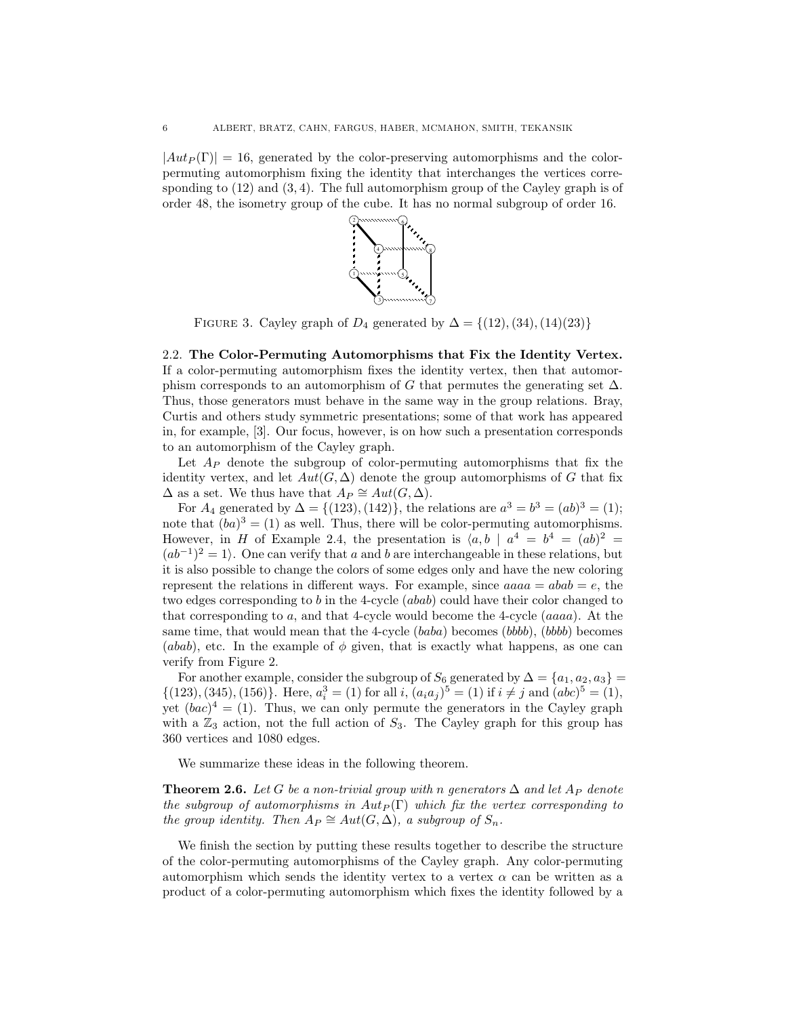$|Aut_P(\Gamma)| = 16$ , generated by the color-preserving automorphisms and the color- $\frac{1}{2}$  permuting automorphism fixing the identity that interchanges the vertices corresponding to  $(12)$  and  $(3, 4)$ . The full automorphism group of the Cayley graph is of order 48, the isometry group of the cube. It has no normal subgroup of order 16.



FIGURE 3. Cayley graph of  $D_4$  generated by  $\Delta = \{(12), (34), (14)(23)\}\$ 

2.2. The Color-Permuting Automorphisms that Fix the Identity Vertex. If a color-permuting automorphism fixes the identity vertex, then that automorphism corresponds to an automorphism of G that permutes the generating set  $\Delta$ . Thus, those generators must behave in the same way in the group relations. Bray, Curtis and others study symmetric presentations; some of that work has appeared in, for example, [3]. Our focus, however, is on how such a presentation corresponds to an automorphism of the Cayley graph.

Let  $A_P$  denote the subgroup of color-permuting automorphisms that fix the identity vertex, and let  $Aut(G, \Delta)$  denote the group automorphisms of G that fix  $\Delta$  as a set. We thus have that  $A_P \cong Aut(G, \Delta)$ .

For  $A_4$  generated by  $\Delta = \{(123), (142)\}\,$ , the relations are  $a^3 = b^3 = (ab)^3 = (1);$ note that  $(ba)^3 = (1)$  as well. Thus, there will be color-permuting automorphisms. However, in H of Example 2.4, the presentation is  $\langle a, b \mid a^4 = b^4 = (ab)^2 =$  $(ab^{-1})^2 = 1$ . One can verify that a and b are interchangeable in these relations, but it is also possible to change the colors of some edges only and have the new coloring represent the relations in different ways. For example, since  $aaaa = abab = e$ , the two edges corresponding to b in the 4-cycle  $(abab)$  could have their color changed to that corresponding to a, and that 4-cycle would become the 4-cycle (aaaa). At the same time, that would mean that the 4-cycle  $(baba)$  becomes  $(bbbb)$ ,  $(bbbb)$  becomes (abab), etc. In the example of  $\phi$  given, that is exactly what happens, as one can verify from Figure 2.

For another example, consider the subgroup of  $S_6$  generated by  $\Delta = \{a_1, a_2, a_3\}$  $\{(123), (345), (156)\}.$  Here,  $a_i^3 = (1)$  for all i,  $(a_i a_j)^5 = (1)$  if  $i \neq j$  and  $(abc)^5 = (1)$ , yet  $(bac)^4 = (1)$ . Thus, we can only permute the generators in the Cayley graph with a  $\mathbb{Z}_3$  action, not the full action of  $S_3$ . The Cayley graph for this group has 360 vertices and 1080 edges.

We summarize these ideas in the following theorem.

**Theorem 2.6.** Let G be a non-trivial group with n generators  $\Delta$  and let  $A_P$  denote the subgroup of automorphisms in  $Aut_P(\Gamma)$  which fix the vertex corresponding to the group identity. Then  $A_P \cong Aut(G, \Delta)$ , a subgroup of  $S_n$ .

We finish the section by putting these results together to describe the structure of the color-permuting automorphisms of the Cayley graph. Any color-permuting automorphism which sends the identity vertex to a vertex  $\alpha$  can be written as a product of a color-permuting automorphism which fixes the identity followed by a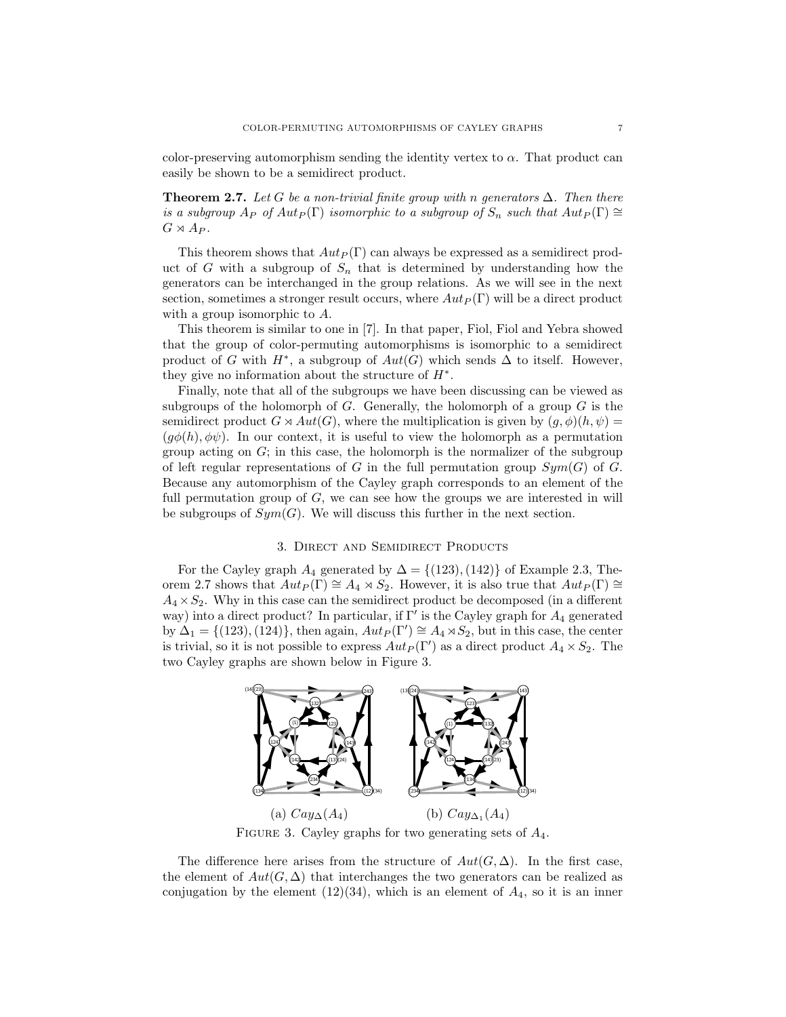color-preserving automorphism sending the identity vertex to  $\alpha$ . That product can easily be shown to be a semidirect product.

**Theorem 2.7.** Let G be a non-trivial finite group with n generators  $\Delta$ . Then there is a subgroup  $A_P$  of  $Aut_P(\Gamma)$  isomorphic to a subgroup of  $S_n$  such that  $Aut_P(\Gamma) \cong$  $G \rtimes A_P$ .

This theorem shows that  $Aut_P(\Gamma)$  can always be expressed as a semidirect product of G with a subgroup of  $S_n$  that is determined by understanding how the generators can be interchanged in the group relations. As we will see in the next section, sometimes a stronger result occurs, where  $Aut_P(\Gamma)$  will be a direct product with a group isomorphic to A.

This theorem is similar to one in [7]. In that paper, Fiol, Fiol and Yebra showed that the group of color-permuting automorphisms is isomorphic to a semidirect product of G with  $H^*$ , a subgroup of  $Aut(G)$  which sends  $\Delta$  to itself. However, they give no information about the structure of  $H^*$ .

Finally, note that all of the subgroups we have been discussing can be viewed as subgroups of the holomorph of G. Generally, the holomorph of a group  $G$  is the semidirect product  $G \rtimes Aut(G)$ , where the multiplication is given by  $(g, \phi)(h, \psi) =$  $(q\phi(h), \phi\psi)$ . In our context, it is useful to view the holomorph as a permutation group acting on  $G$ ; in this case, the holomorph is the normalizer of the subgroup of left regular representations of G in the full permutation group  $Sym(G)$  of G. Because any automorphism of the Cayley graph corresponds to an element of the full permutation group of  $G$ , we can see how the groups we are interested in will be subgroups of  $Sym(G)$ . We will discuss this further in the next section.

### 3. Direct and Semidirect Products

For the Cayley graph  $A_4$  generated by  $\Delta = \{(123), (142)\}\$  of Example 2.3, Theorem 2.7 shows that  $Aut_P(\Gamma) \cong A_4 \rtimes S_2$ . However, it is also true that  $Aut_P(\Gamma) \cong$  $A_4 \times S_2$ . Why in this case can the semidirect product be decomposed (in a different way) into a direct product? In particular, if  $\Gamma'$  is the Cayley graph for  $A_4$  generated by  $\Delta_1 = \{(123), (124)\}\$ , then again,  $Aut_P(\Gamma') \cong A_4 \rtimes S_2$ , but in this case, the center is trivial, so it is not possible to express  $Aut_P(\Gamma')$  as a direct product  $A_4 \times S_2$ . The two Cayley graphs are shown below in Figure 3.



FIGURE 3. Cayley graphs for two generating sets of  $A_4$ .

The difference here arises from the structure of  $Aut(G,\Delta)$ . In the first case, the element of  $Aut(G, \Delta)$  that interchanges the two generators can be realized as conjugation by the element  $(12)(34)$ , which is an element of  $A_4$ , so it is an inner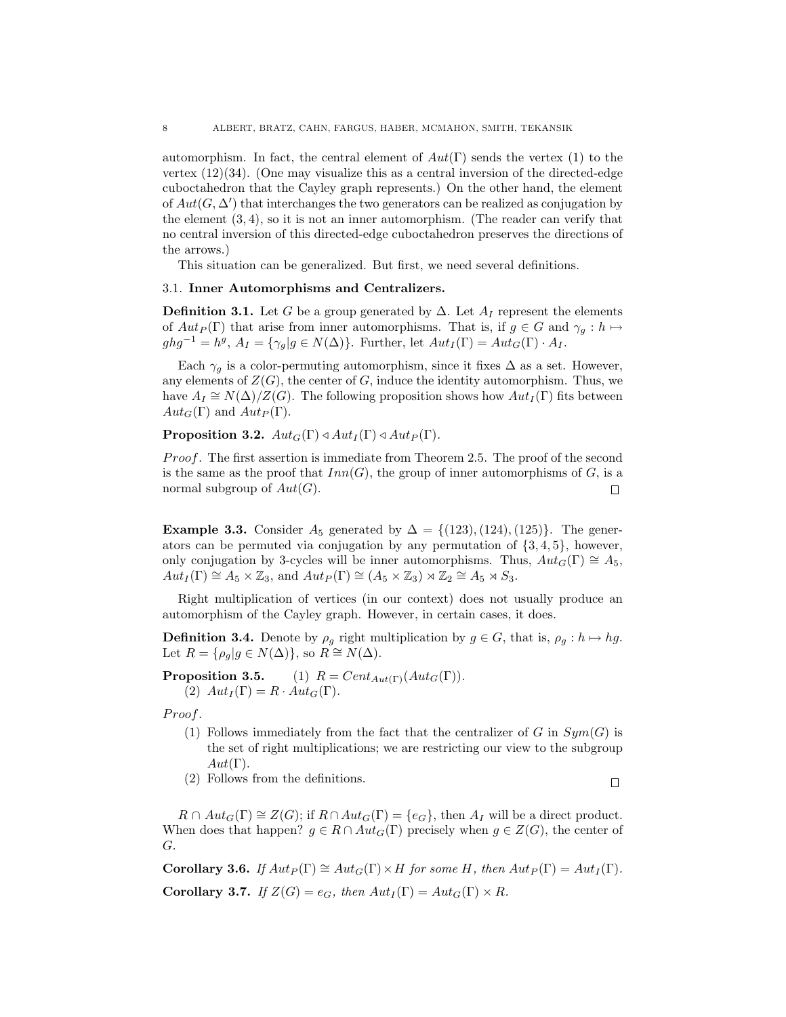automorphism. In fact, the central element of  $Aut(\Gamma)$  sends the vertex (1) to the vertex  $(12)(34)$ . (One may visualize this as a central inversion of the directed-edge cuboctahedron that the Cayley graph represents.) On the other hand, the element of  $Aut(G, \Delta')$  that interchanges the two generators can be realized as conjugation by the element  $(3, 4)$ , so it is not an inner automorphism. (The reader can verify that no central inversion of this directed-edge cuboctahedron preserves the directions of the arrows.)

This situation can be generalized. But first, we need several definitions.

## 3.1. Inner Automorphisms and Centralizers.

**Definition 3.1.** Let G be a group generated by  $\Delta$ . Let  $A_I$  represent the elements of  $Aut_P(\Gamma)$  that arise from inner automorphisms. That is, if  $g \in G$  and  $\gamma_g : h \mapsto$  $ghg^{-1} = h^g, A_I = {\gamma_g | g \in N(\Delta)}$ . Further, let  $Aut_I(\Gamma) = Aut_G(\Gamma) \cdot A_I$ .

Each  $\gamma_g$  is a color-permuting automorphism, since it fixes  $\Delta$  as a set. However, any elements of  $Z(G)$ , the center of G, induce the identity automorphism. Thus, we have  $A_I \cong N(\Delta)/Z(G)$ . The following proposition shows how  $Aut_I(\Gamma)$  fits between  $Aut_G(\Gamma)$  and  $Aut_P(\Gamma)$ .

**Proposition 3.2.**  $Aut_G(\Gamma) \triangleleft Aut_I(\Gamma) \triangleleft Aut_P(\Gamma)$ .

*Proof.* The first assertion is immediate from Theorem 2.5. The proof of the second is the same as the proof that  $Inn(G)$ , the group of inner automorphisms of G, is a normal subgroup of  $Aut(G)$ .  $\Box$ 

Example 3.3. Consider  $A_5$  generated by  $\Delta = \{(123), (124), (125)\}\.$  The generators can be permuted via conjugation by any permutation of  $\{3, 4, 5\}$ , however, only conjugation by 3-cycles will be inner automorphisms. Thus,  $Aut_G(\Gamma) \cong A_5$ ,  $Aut_I(\Gamma) \cong A_5 \times \mathbb{Z}_3$ , and  $Aut_P(\Gamma) \cong (A_5 \times \mathbb{Z}_3) \rtimes \mathbb{Z}_2 \cong A_5 \rtimes S_3$ .

Right multiplication of vertices (in our context) does not usually produce an automorphism of the Cayley graph. However, in certain cases, it does.

**Definition 3.4.** Denote by  $\rho_g$  right multiplication by  $g \in G$ , that is,  $\rho_g : h \mapsto hg$ . Let  $R = \{\rho_g | g \in N(\Delta)\}\)$ , so  $R \cong N(\Delta)$ .

**Proposition 3.5.** (1)  $R = Cent_{Aut(\Gamma)}(Aut_G(\Gamma)).$ (2)  $Aut_I(\Gamma) = R \cdot Aut_G(\Gamma)$ .

Proof.

- (1) Follows immediately from the fact that the centralizer of G in  $Sym(G)$  is the set of right multiplications; we are restricting our view to the subgroup  $Aut(\Gamma).$
- (2) Follows from the definitions.

 $R \cap Aut_G(\Gamma) \cong Z(G)$ ; if  $R \cap Aut_G(\Gamma) = \{e_G\}$ , then  $A_I$  will be a direct product. When does that happen?  $g \in R \cap Aut_G(\Gamma)$  precisely when  $g \in Z(G)$ , the center of G.

**Corollary 3.6.** If  $Aut_P(\Gamma) \cong Aut_G(\Gamma) \times H$  for some H, then  $Aut_P(\Gamma) = Aut_I(\Gamma)$ . Corollary 3.7. If  $Z(G) = e_G$ , then  $Aut_I(\Gamma) = Aut_G(\Gamma) \times R$ .

$$
\qquad \qquad \Box
$$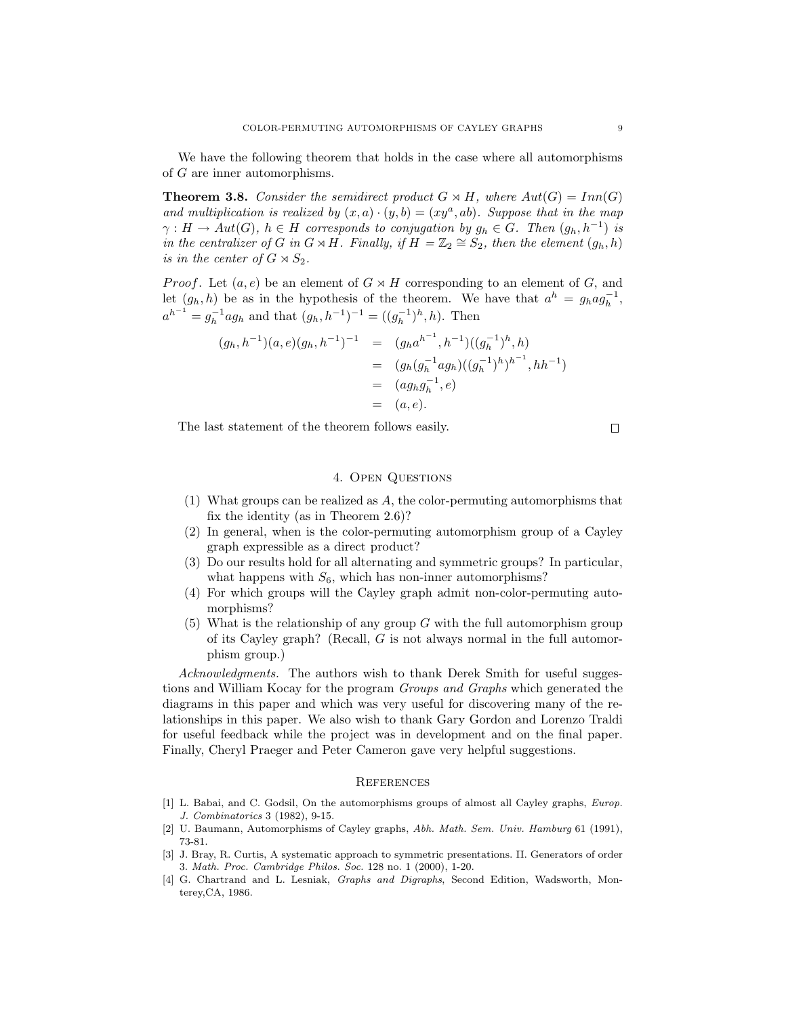We have the following theorem that holds in the case where all automorphisms of G are inner automorphisms.

**Theorem 3.8.** Consider the semidirect product  $G \rtimes H$ , where  $Aut(G) = Inn(G)$ and multiplication is realized by  $(x, a) \cdot (y, b) = (xy^a, ab)$ . Suppose that in the map  $\gamma: H \to Aut(G), h \in H$  corresponds to conjugation by  $g_h \in G$ . Then  $(g_h, h^{-1})$  is in the centralizer of G in  $G \rtimes H$ . Finally, if  $H = \mathbb{Z}_2 \cong S_2$ , then the element  $(g_h, h)$ is in the center of  $G \rtimes S_2$ .

*Proof.* Let  $(a, e)$  be an element of  $G \rtimes H$  corresponding to an element of G, and let  $(g_h, h)$  be as in the hypothesis of the theorem. We have that  $a^h = g_h a g_h^{-1}$ ,  $a^{h^{-1}} = g_h^{-1}ag_h$  and that  $(g_h, h^{-1})^{-1} = ((g_h^{-1})^h, h)$ . Then

$$
(g_h, h^{-1})(a, e)(g_h, h^{-1})^{-1} = (g_h a^{h^{-1}}, h^{-1})((g_h^{-1})^h, h)
$$
  
= 
$$
(g_h (g_h^{-1} ag_h)((g_h^{-1})^h)^{h^{-1}}, hh^{-1})
$$
  
= 
$$
(ag_h g_h^{-1}, e)
$$
  
= 
$$
(a, e).
$$

The last statement of the theorem follows easily.

 $\Box$ 

# 4. Open Questions

- (1) What groups can be realized as A, the color-permuting automorphisms that fix the identity (as in Theorem 2.6)?
- (2) In general, when is the color-permuting automorphism group of a Cayley graph expressible as a direct product?
- (3) Do our results hold for all alternating and symmetric groups? In particular, what happens with  $S_6$ , which has non-inner automorphisms?
- (4) For which groups will the Cayley graph admit non-color-permuting automorphisms?
- $(5)$  What is the relationship of any group G with the full automorphism group of its Cayley graph? (Recall, G is not always normal in the full automorphism group.)

Acknowledgments. The authors wish to thank Derek Smith for useful suggestions and William Kocay for the program Groups and Graphs which generated the diagrams in this paper and which was very useful for discovering many of the relationships in this paper. We also wish to thank Gary Gordon and Lorenzo Traldi for useful feedback while the project was in development and on the final paper. Finally, Cheryl Praeger and Peter Cameron gave very helpful suggestions.

#### **REFERENCES**

- [1] L. Babai, and C. Godsil, On the automorphisms groups of almost all Cayley graphs, Europ. J. Combinatorics 3 (1982), 9-15.
- [2] U. Baumann, Automorphisms of Cayley graphs, Abh. Math. Sem. Univ. Hamburg 61 (1991), 73-81.
- [3] J. Bray, R. Curtis, A systematic approach to symmetric presentations. II. Generators of order 3. Math. Proc. Cambridge Philos. Soc. 128 no. 1 (2000), 1-20.
- [4] G. Chartrand and L. Lesniak, *Graphs and Digraphs*, Second Edition, Wadsworth, Monterey,CA, 1986.